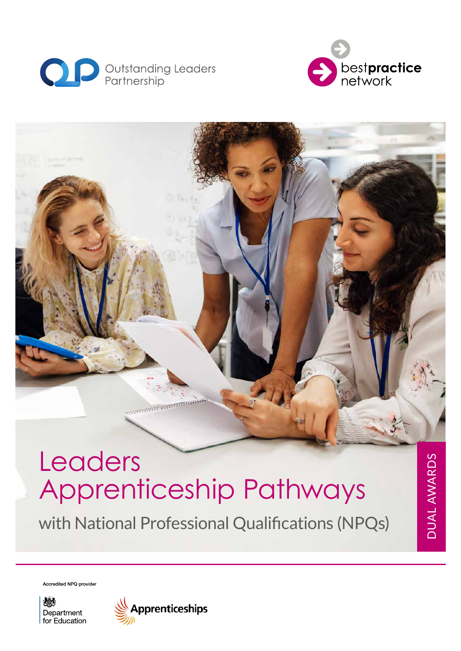



# mmmmmmm Leaders Apprenticeship Pathways

with National Professional Qualifications (NPQs)

DUAL AWARDS DUAL AWARDS

Accredited NPQ provider

燃え Department for Education

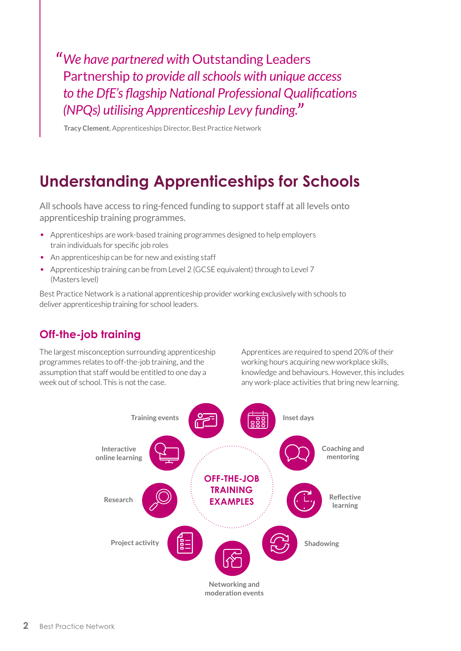*"We have partnered with* Outstanding Leaders Partnership *to provide all schools with unique access to the DfE's flagship National Professional Qualifications (NPQs) utilising Apprenticeship Levy funding."*

**Tracy Clement**, Apprenticeships Director, Best Practice Network

# **Understanding Apprenticeships for Schools**

All schools have access to ring-fenced funding to support staff at all levels onto apprenticeship training programmes.

- Apprenticeships are work-based training programmes designed to help employers train individuals for specific job roles
- An apprenticeship can be for new and existing staff
- Apprenticeship training can be from Level 2 (GCSE equivalent) through to Level 7 (Masters level)

Best Practice Network is a national apprenticeship provider working exclusively with schools to deliver apprenticeship training for school leaders.

#### **Off-the-job training**

The largest misconception surrounding apprenticeship programmes relates to off-the-job training, and the assumption that staff would be entitled to one day a week out of school. This is not the case.

Apprentices are required to spend 20% of their working hours acquiring new workplace skills, knowledge and behaviours. However, this includes any work-place activities that bring new learning.

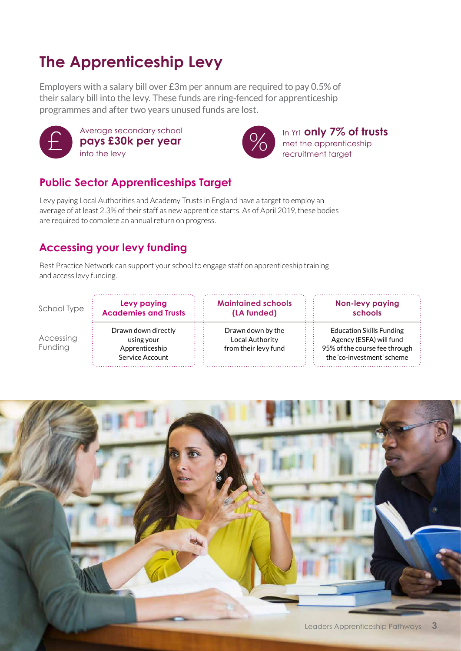# **The Apprenticeship Levy**

Employers with a salary bill over £3m per annum are required to pay 0.5% of their salary bill into the levy. These funds are ring-fenced for apprenticeship programmes and after two years unused funds are lost.



Average secondary school **pays £30k per year**  into the levy  $\sum_{\text{into the law}}^{\text{Average secondary school}}$  and  $\sum_{\text{into the law}}^{\text{Average secondary school}}$ 



In Yr1 **only 7% of trusts** recruitment target

## **Public Sector Apprenticeships Target**

Levy paying Local Authorities and Academy Trusts in England have a target to employ an average of at least 2.3% of their staff as new apprentice starts. As of April 2019, these bodies are required to complete an annual return on progress.

### **Accessing your levy funding**

Best Practice Network can support your school to engage staff on apprenticeship training and access levy funding.

School Type

Accessing Funding

Drawn down directly using your Apprenticeship Service Account

**Levy paying Academies and Trusts** **Maintained schools (LA funded)**

Drawn down by the Local Authority from their levy fund **Non-levy paying schools**

Education Skills Funding Agency (ESFA) will fund 95% of the course fee through the 'co-investment' scheme

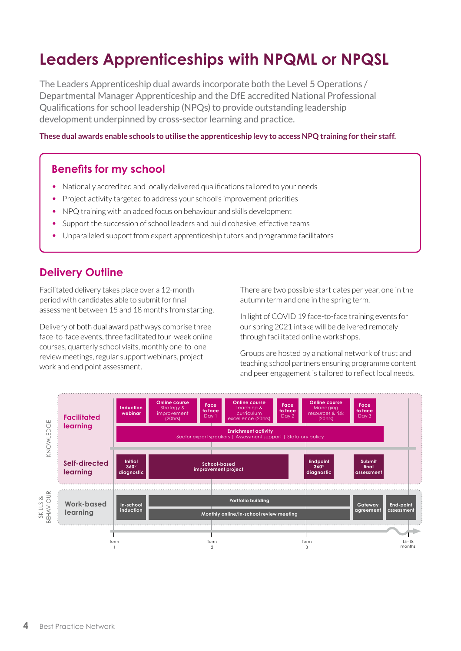# **Leaders Apprenticeships with NPQML or NPQSL**

The Leaders Apprenticeship dual awards incorporate both the Level 5 Operations / Departmental Manager Apprenticeship and the DfE accredited National Professional Qualifications for school leadership (NPQs) to provide outstanding leadership development underpinned by cross-sector learning and practice.

**These dual awards enable schools to utilise the apprenticeship levy to access NPQ training for their staff.**

#### **Benefits for my school**

- Nationally accredited and locally delivered qualifications tailored to your needs
- Project activity targeted to address your school's improvement priorities
- NPQ training with an added focus on behaviour and skills development
- Support the succession of school leaders and build cohesive, effective teams
- Unparalleled support from expert apprenticeship tutors and programme facilitators

#### **Delivery Outline**

Facilitated delivery takes place over a 12-month period with candidates able to submit for final assessment between 15 and 18 months from starting.

Delivery of both dual award pathways comprise three face-to-face events, three facilitated four-week online courses, quarterly school visits, monthly one-to-one review meetings, regular support webinars, project work and end point assessment.

There are two possible start dates per year, one in the autumn term and one in the spring term.

In light of COVID 19 face-to-face training events for our spring 2021 intake will be delivered remotely through facilitated online workshops.

Groups are hosted by a national network of trust and teaching school partners ensuring programme content and peer engagement is tailored to reflect local needs.

![](_page_3_Figure_15.jpeg)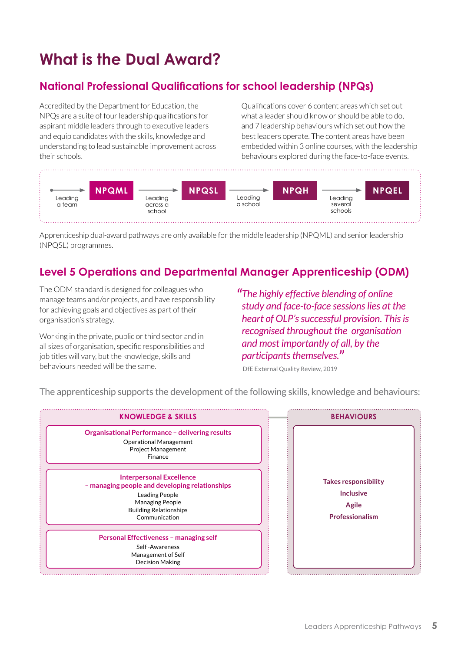# **What is the Dual Award?**

#### **National Professional Qualifications for school leadership (NPQs)**

Accredited by the Department for Education, the NPQs are a suite of four leadership qualifications for aspirant middle leaders through to executive leaders and equip candidates with the skills, knowledge and understanding to lead sustainable improvement across their schools.

Qualifications cover 6 content areas which set out what a leader should know or should be able to do, and 7 leadership behaviours which set out how the best leaders operate. The content areas have been embedded within 3 online courses, with the leadership behaviours explored during the face-to-face events.

![](_page_4_Figure_4.jpeg)

Apprenticeship dual-award pathways are only available for the middle leadership (NPQML) and senior leadership (NPQSL) programmes.

## **Level 5 Operations and Departmental Manager Apprenticeship (ODM)**

The ODM standard is designed for colleagues who manage teams and/or projects, and have responsibility for achieving goals and objectives as part of their organisation's strategy.

Working in the private, public or third sector and in all sizes of organisation, specific responsibilities and job titles will vary, but the knowledge, skills and behaviours needed will be the same.

*"The highly effective blending of online study and face-to-face sessions lies at the heart of OLP's successful provision. This is recognised throughout the organisation and most importantly of all, by the participants themselves."*

DfE External Quality Review, 2019

The apprenticeship supports the development of the following skills, knowledge and behaviours:

![](_page_4_Figure_12.jpeg)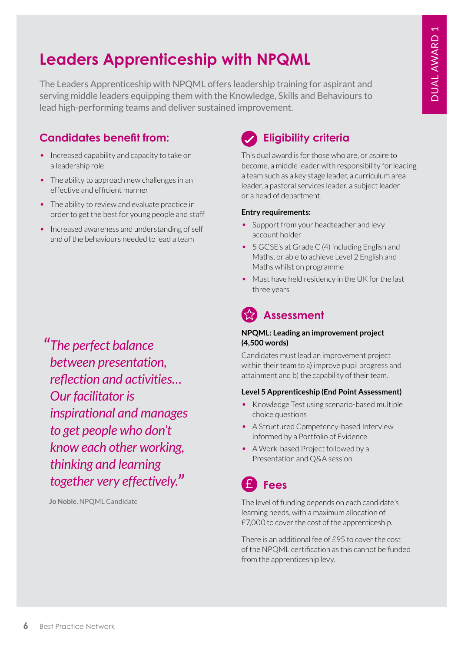# **Leaders Apprenticeship with NPQML**

The Leaders Apprenticeship with NPQML offers leadership training for aspirant and serving middle leaders equipping them with the Knowledge, Skills and Behaviours to lead high-performing teams and deliver sustained improvement.

## **Candidates benefit from:**

- Increased capability and capacity to take on a leadership role
- The ability to approach new challenges in an effective and efficient manner
- The ability to review and evaluate practice in order to get the best for young people and staff
- Increased awareness and understanding of self and of the behaviours needed to lead a team

*"The perfect balance between presentation, reflection and activities… Our facilitator is inspirational and manages to get people who don't know each other working, thinking and learning together very effectively."*

**Jo Noble**, NPQML Candidate

## **Eligibility criteria**

This dual award is for those who are, or aspire to become, a middle leader with responsibility for leading a team such as a key stage leader, a curriculum area leader, a pastoral services leader, a subject leader or a head of department.

#### **Entry requirements:**

- Support from your headteacher and levy account holder
- 5 GCSE's at Grade C (4) including English and Maths, or able to achieve Level 2 English and Maths whilst on programme
- Must have held residency in the UK for the last three years

## **Assessment**

#### **NPQML: Leading an improvement project (4,500 words)**

Candidates must lead an improvement project within their team to a) improve pupil progress and attainment and b) the capability of their team.

#### **Level 5 Apprenticeship (End Point Assessment)**

- Knowledge Test using scenario-based multiple choice questions
- A Structured Competency-based Interview informed by a Portfolio of Evidence
- A Work-based Project followed by a Presentation and Q&A session

#### **Fees** £

The level of funding depends on each candidate's learning needs, with a maximum allocation of £7,000 to cover the cost of the apprenticeship.

There is an additional fee of £95 to cover the cost of the NPQML certification as this cannot be funded from the apprenticeship levy.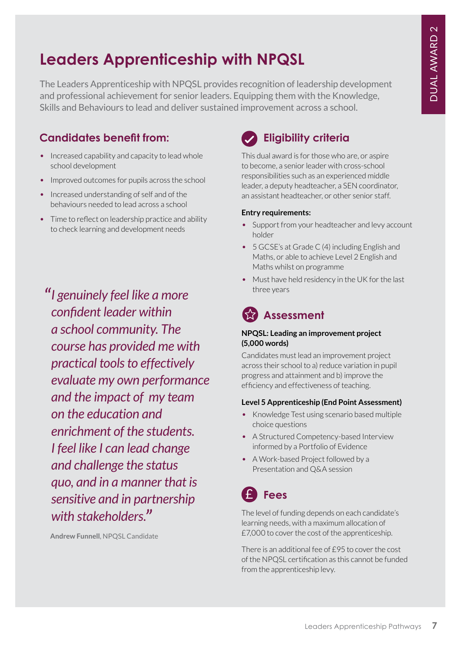# **Leaders Apprenticeship with NPQSL**

The Leaders Apprenticeship with NPQSL provides recognition of leadership development and professional achievement for senior leaders. Equipping them with the Knowledge, Skills and Behaviours to lead and deliver sustained improvement across a school.

## **Candidates benefit from:**

- Increased capability and capacity to lead whole school development
- Improved outcomes for pupils across the school
- Increased understanding of self and of the behaviours needed to lead across a school
- Time to reflect on leadership practice and ability to check learning and development needs

*"I genuinely feel like a more confident leader within a school community. The course has provided me with practical tools to effectively evaluate my own performance and the impact of my team on the education and enrichment of the students. I feel like I can lead change and challenge the status quo, and in a manner that is sensitive and in partnership with stakeholders."*

**Andrew Funnell**, NPQSL Candidate

## **Eligibility criteria**

This dual award is for those who are, or aspire to become, a senior leader with cross-school responsibilities such as an experienced middle leader, a deputy headteacher, a SEN coordinator, an assistant headteacher, or other senior staff.

#### **Entry requirements:**

- Support from your headteacher and levy account holder
- 5 GCSE's at Grade C (4) including English and Maths, or able to achieve Level 2 English and Maths whilst on programme
- Must have held residency in the UK for the last three years

# **Assessment**

#### **NPQSL: Leading an improvement project (5,000 words)**

Candidates must lead an improvement project across their school to a) reduce variation in pupil progress and attainment and b) improve the efficiency and effectiveness of teaching.

#### **Level 5 Apprenticeship (End Point Assessment)**

- Knowledge Test using scenario based multiple choice questions
- A Structured Competency-based Interview informed by a Portfolio of Evidence
- A Work-based Project followed by a Presentation and Q&A session

#### **Fees** £

The level of funding depends on each candidate's learning needs, with a maximum allocation of £7,000 to cover the cost of the apprenticeship.

There is an additional fee of £95 to cover the cost of the NPQSL certification as this cannot be funded from the apprenticeship levy.